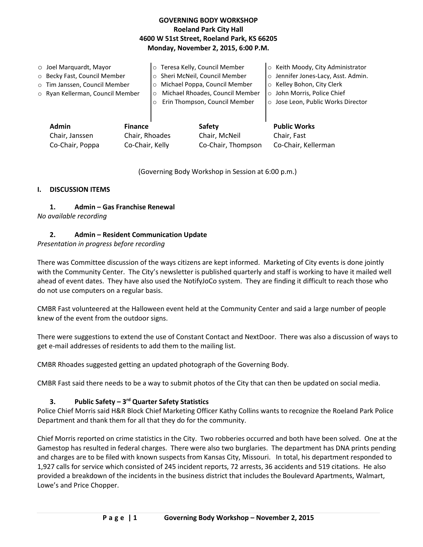# **GOVERNING BODY WORKSHOP Roeland Park City Hall 4600 W 51st Street, Roeland Park, KS 66205 Monday, November 2, 2015, 6:00 P.M.**

| $\circ$ Joel Marquardt, Mayor<br>o Becky Fast, Council Member<br>o Tim Janssen, Council Member<br>o Ryan Kellerman, Council Member |                                                     | Teresa Kelly, Council Member<br>$\circ$<br>Sheri McNeil, Council Member<br>$\circ$<br>Michael Poppa, Council Member<br>$\circ$<br>Michael Rhoades, Council Member<br>$\circ$<br>Erin Thompson, Council Member<br>$\circ$ |                                               | ○ Keith Moody, City Administrator<br>o Jennifer Jones-Lacy, Asst. Admin.<br>○ Kelley Bohon, City Clerk<br>o John Morris, Police Chief<br>o Jose Leon, Public Works Director |
|------------------------------------------------------------------------------------------------------------------------------------|-----------------------------------------------------|--------------------------------------------------------------------------------------------------------------------------------------------------------------------------------------------------------------------------|-----------------------------------------------|-----------------------------------------------------------------------------------------------------------------------------------------------------------------------------|
| Admin<br>Chair, Janssen<br>Co-Chair, Poppa                                                                                         | <b>Finance</b><br>Chair, Rhoades<br>Co-Chair, Kelly |                                                                                                                                                                                                                          | Safety<br>Chair, McNeil<br>Co-Chair, Thompson | <b>Public Works</b><br>Chair, Fast<br>Co-Chair, Kellerman                                                                                                                   |

(Governing Body Workshop in Session at 6:00 p.m.)

#### **I. DISCUSSION ITEMS**

**1. Admin – Gas Franchise Renewal**

*No available recording*

# **2. Admin – Resident Communication Update**

#### *Presentation in progress before recording*

There was Committee discussion of the ways citizens are kept informed. Marketing of City events is done jointly with the Community Center. The City's newsletter is published quarterly and staff is working to have it mailed well ahead of event dates. They have also used the NotifyJoCo system. They are finding it difficult to reach those who do not use computers on a regular basis.

CMBR Fast volunteered at the Halloween event held at the Community Center and said a large number of people knew of the event from the outdoor signs.

There were suggestions to extend the use of Constant Contact and NextDoor. There was also a discussion of ways to get e-mail addresses of residents to add them to the mailing list.

CMBR Rhoades suggested getting an updated photograph of the Governing Body.

CMBR Fast said there needs to be a way to submit photos of the City that can then be updated on social media.

# **3. Public Safety – 3 rd Quarter Safety Statistics**

Police Chief Morris said H&R Block Chief Marketing Officer Kathy Collins wants to recognize the Roeland Park Police Department and thank them for all that they do for the community.

Chief Morris reported on crime statistics in the City. Two robberies occurred and both have been solved. One at the Gamestop has resulted in federal charges. There were also two burglaries. The department has DNA prints pending and charges are to be filed with known suspects from Kansas City, Missouri. In total, his department responded to 1,927 calls for service which consisted of 245 incident reports, 72 arrests, 36 accidents and 519 citations. He also provided a breakdown of the incidents in the business district that includes the Boulevard Apartments, Walmart, Lowe's and Price Chopper.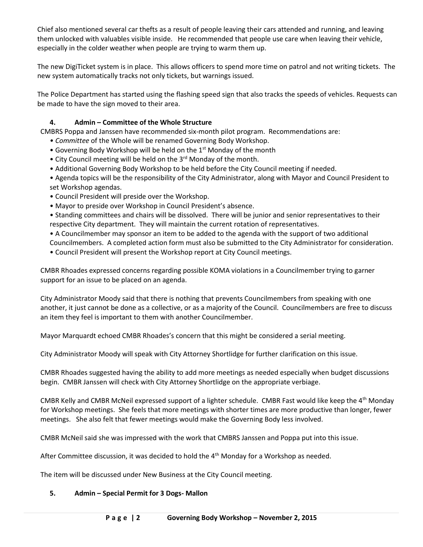Chief also mentioned several car thefts as a result of people leaving their cars attended and running, and leaving them unlocked with valuables visible inside. He recommended that people use care when leaving their vehicle, especially in the colder weather when people are trying to warm them up.

The new DigiTicket system is in place. This allows officers to spend more time on patrol and not writing tickets. The new system automatically tracks not only tickets, but warnings issued.

The Police Department has started using the flashing speed sign that also tracks the speeds of vehicles. Requests can be made to have the sign moved to their area.

# **4. Admin – Committee of the Whole Structure**

CMBRS Poppa and Janssen have recommended six-month pilot program. Recommendations are:

- *Committee* of the Whole will be renamed Governing Body Workshop.
- Governing Body Workshop will be held on the 1<sup>st</sup> Monday of the month
- City Council meeting will be held on the 3<sup>rd</sup> Monday of the month.
- Additional Governing Body Workshop to be held before the City Council meeting if needed.

• Agenda topics will be the responsibility of the City Administrator, along with Mayor and Council President to set Workshop agendas.

- Council President will preside over the Workshop.
- Mayor to preside over Workshop in Council President's absence.
- Standing committees and chairs will be dissolved. There will be junior and senior representatives to their respective City department. They will maintain the current rotation of representatives.
- A Councilmember may sponsor an item to be added to the agenda with the support of two additional

Councilmembers. A completed action form must also be submitted to the City Administrator for consideration. • Council President will present the Workshop report at City Council meetings.

CMBR Rhoades expressed concerns regarding possible KOMA violations in a Councilmember trying to garner support for an issue to be placed on an agenda.

City Administrator Moody said that there is nothing that prevents Councilmembers from speaking with one another, it just cannot be done as a collective, or as a majority of the Council. Councilmembers are free to discuss an item they feel is important to them with another Councilmember.

Mayor Marquardt echoed CMBR Rhoades's concern that this might be considered a serial meeting.

City Administrator Moody will speak with City Attorney Shortlidge for further clarification on this issue.

CMBR Rhoades suggested having the ability to add more meetings as needed especially when budget discussions begin. CMBR Janssen will check with City Attorney Shortlidge on the appropriate verbiage.

CMBR Kelly and CMBR McNeil expressed support of a lighter schedule. CMBR Fast would like keep the 4th Monday for Workshop meetings. She feels that more meetings with shorter times are more productive than longer, fewer meetings. She also felt that fewer meetings would make the Governing Body less involved.

CMBR McNeil said she was impressed with the work that CMBRS Janssen and Poppa put into this issue.

After Committee discussion, it was decided to hold the  $4<sup>th</sup>$  Monday for a Workshop as needed.

The item will be discussed under New Business at the City Council meeting.

#### **5. Admin – Special Permit for 3 Dogs- Mallon**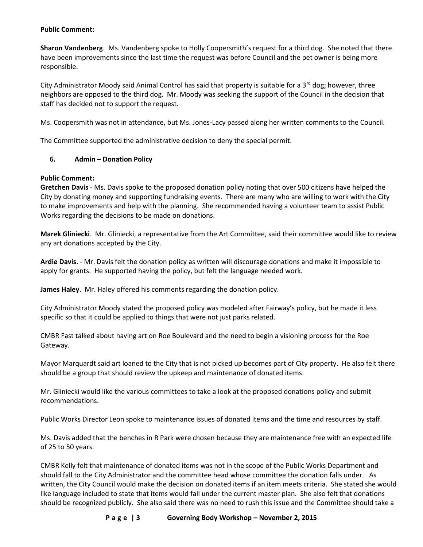#### **Public Comment:**

**Sharon Vandenberg**. Ms. Vandenberg spoke to Holly Coopersmith's request for a third dog. She noted that there have been improvements since the last time the request was before Council and the pet owner is being more responsible.

City Administrator Moody said Animal Control has said that property is suitable for a  $3<sup>rd</sup>$  dog; however, three neighbors are opposed to the third dog. Mr. Moody was seeking the support of the Council in the decision that staff has decided not to support the request.

Ms. Coopersmith was not in attendance, but Ms. Jones-Lacy passed along her written comments to the Council.

The Committee supported the administrative decision to deny the special permit.

#### **6. Admin – Donation Policy**

#### **Public Comment:**

**Gretchen Davis** - Ms. Davis spoke to the proposed donation policy noting that over 500 citizens have helped the City by donating money and supporting fundraising events. There are many who are willing to work with the City to make improvements and help with the planning. She recommended having a volunteer team to assist Public Works regarding the decisions to be made on donations.

**Marek Gliniecki**. Mr. Gliniecki, a representative from the Art Committee, said their committee would like to review any art donations accepted by the City.

**Ardie Davis**. - Mr. Davis felt the donation policy as written will discourage donations and make it impossible to apply for grants. He supported having the policy, but felt the language needed work.

**James Haley**. Mr. Haley offered his comments regarding the donation policy.

City Administrator Moody stated the proposed policy was modeled after Fairway's policy, but he made it less specific so that it could be applied to things that were not just parks related.

CMBR Fast talked about having art on Roe Boulevard and the need to begin a visioning process for the Roe Gateway.

Mayor Marquardt said art loaned to the City that is not picked up becomes part of City property. He also felt there should be a group that should review the upkeep and maintenance of donated items.

Mr. Gliniecki would like the various committees to take a look at the proposed donations policy and submit recommendations.

Public Works Director Leon spoke to maintenance issues of donated items and the time and resources by staff.

Ms. Davis added that the benches in R Park were chosen because they are maintenance free with an expected life of 25 to 50 years.

CMBR Kelly felt that maintenance of donated items was not in the scope of the Public Works Department and should fall to the City Administrator and the committee head whose committee the donation falls under. As written, the City Council would make the decision on donated items if an item meets criteria. She stated she would like language included to state that items would fall under the current master plan. She also felt that donations should be recognized publicly. She also said there was no need to rush this issue and the Committee should take a